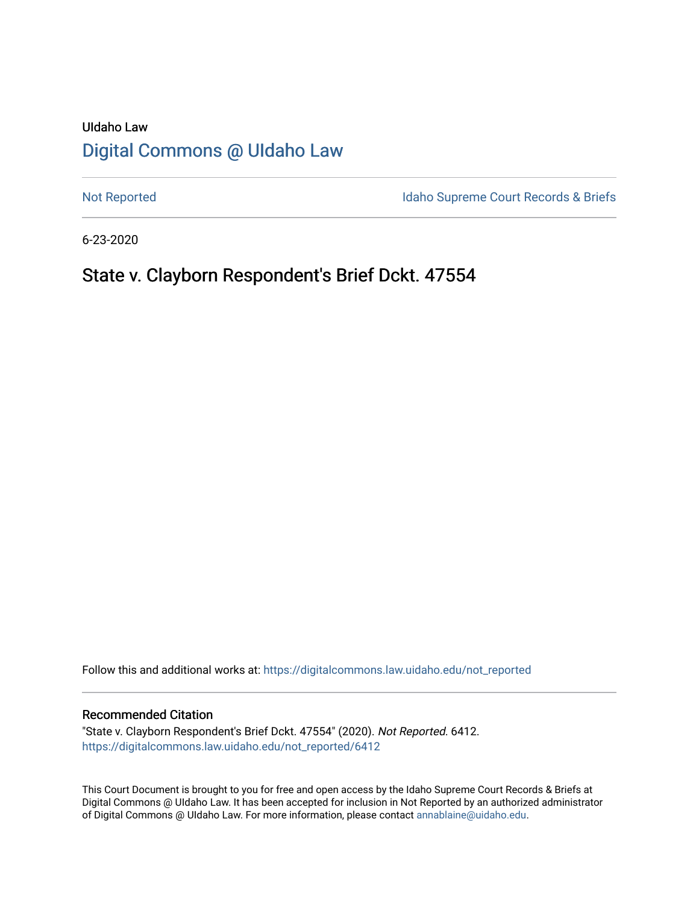# UIdaho Law [Digital Commons @ UIdaho Law](https://digitalcommons.law.uidaho.edu/)

[Not Reported](https://digitalcommons.law.uidaho.edu/not_reported) **Idaho Supreme Court Records & Briefs** 

6-23-2020

# State v. Clayborn Respondent's Brief Dckt. 47554

Follow this and additional works at: [https://digitalcommons.law.uidaho.edu/not\\_reported](https://digitalcommons.law.uidaho.edu/not_reported?utm_source=digitalcommons.law.uidaho.edu%2Fnot_reported%2F6412&utm_medium=PDF&utm_campaign=PDFCoverPages) 

#### Recommended Citation

"State v. Clayborn Respondent's Brief Dckt. 47554" (2020). Not Reported. 6412. [https://digitalcommons.law.uidaho.edu/not\\_reported/6412](https://digitalcommons.law.uidaho.edu/not_reported/6412?utm_source=digitalcommons.law.uidaho.edu%2Fnot_reported%2F6412&utm_medium=PDF&utm_campaign=PDFCoverPages)

This Court Document is brought to you for free and open access by the Idaho Supreme Court Records & Briefs at Digital Commons @ UIdaho Law. It has been accepted for inclusion in Not Reported by an authorized administrator of Digital Commons @ UIdaho Law. For more information, please contact [annablaine@uidaho.edu](mailto:annablaine@uidaho.edu).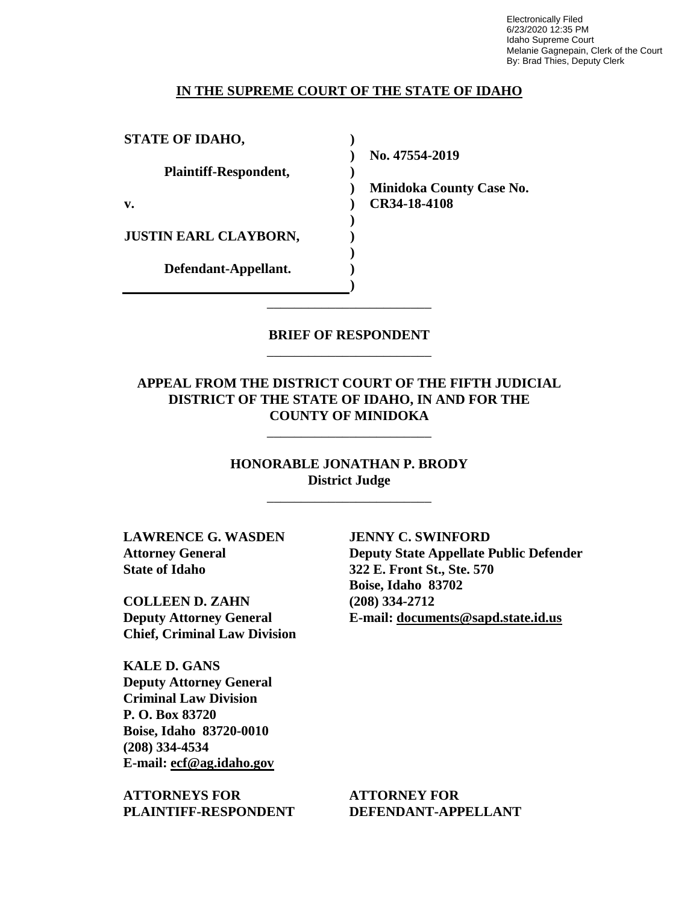Electronically Filed 6/23/2020 12:35 PM Idaho Supreme Court Melanie Gagnepain, Clerk of the Court By: Brad Thies, Deputy Clerk

#### **IN THE SUPREME COURT OF THE STATE OF IDAHO**

| <b>STATE OF IDAHO,</b>       |                                 |
|------------------------------|---------------------------------|
|                              | No. 47554-2019                  |
| Plaintiff-Respondent,        |                                 |
|                              | <b>Minidoka County Case No.</b> |
| v.                           | CR34-18-4108                    |
|                              |                                 |
| <b>JUSTIN EARL CLAYBORN,</b> |                                 |
|                              |                                 |
| Defendant-Appellant.         |                                 |
|                              |                                 |

**BRIEF OF RESPONDENT** \_\_\_\_\_\_\_\_\_\_\_\_\_\_\_\_\_\_\_\_\_\_\_\_

\_\_\_\_\_\_\_\_\_\_\_\_\_\_\_\_\_\_\_\_\_\_\_\_

### **APPEAL FROM THE DISTRICT COURT OF THE FIFTH JUDICIAL DISTRICT OF THE STATE OF IDAHO, IN AND FOR THE COUNTY OF MINIDOKA**

\_\_\_\_\_\_\_\_\_\_\_\_\_\_\_\_\_\_\_\_\_\_\_\_

**HONORABLE JONATHAN P. BRODY District Judge**

\_\_\_\_\_\_\_\_\_\_\_\_\_\_\_\_\_\_\_\_\_\_\_\_

**LAWRENCE G. WASDEN Attorney General State of Idaho**

**COLLEEN D. ZAHN Deputy Attorney General Chief, Criminal Law Division**

**KALE D. GANS Deputy Attorney General Criminal Law Division P. O. Box 83720 Boise, Idaho 83720-0010 (208) 334-4534 E-mail: ecf@ag.idaho.gov** 

**ATTORNEYS FOR PLAINTIFF-RESPONDENT**

**JENNY C. SWINFORD Deputy State Appellate Public Defender 322 E. Front St., Ste. 570 Boise, Idaho 83702 (208) 334-2712 E-mail: documents@sapd.state.id.us** 

**ATTORNEY FOR DEFENDANT-APPELLANT**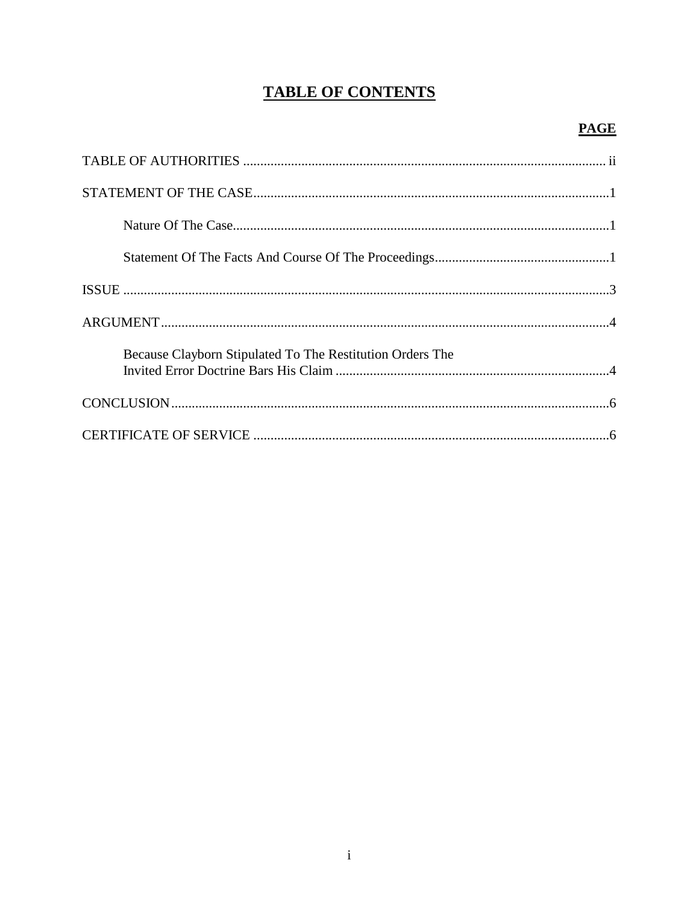# **TABLE OF CONTENTS**

## **PAGE**

| Because Clayborn Stipulated To The Restitution Orders The |
|-----------------------------------------------------------|
|                                                           |
|                                                           |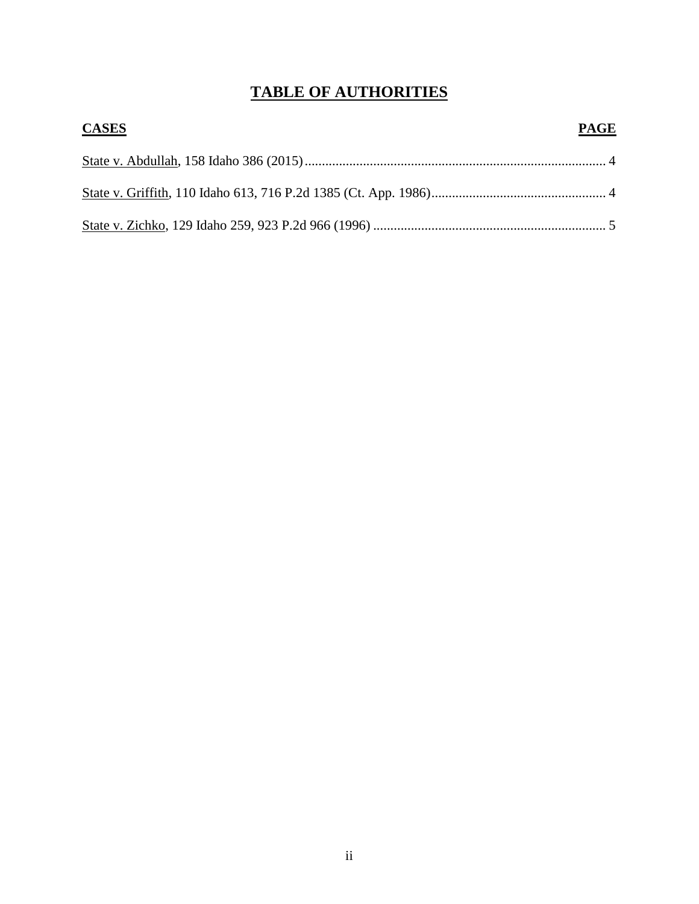# **TABLE OF AUTHORITIES**

| <b>CASES</b> | <b>PAGE</b> |
|--------------|-------------|
|              |             |
|              |             |
|              |             |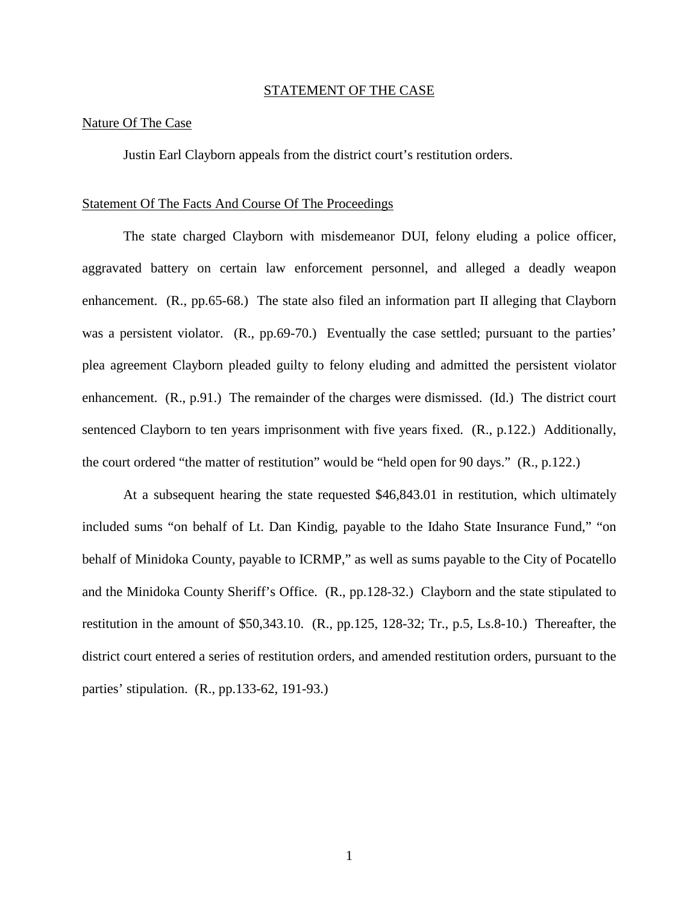#### STATEMENT OF THE CASE

#### Nature Of The Case

Justin Earl Clayborn appeals from the district court's restitution orders.

#### Statement Of The Facts And Course Of The Proceedings

The state charged Clayborn with misdemeanor DUI, felony eluding a police officer, aggravated battery on certain law enforcement personnel, and alleged a deadly weapon enhancement. (R., pp.65-68.) The state also filed an information part II alleging that Clayborn was a persistent violator. (R., pp.69-70.) Eventually the case settled; pursuant to the parties' plea agreement Clayborn pleaded guilty to felony eluding and admitted the persistent violator enhancement. (R., p.91.) The remainder of the charges were dismissed. (Id.) The district court sentenced Clayborn to ten years imprisonment with five years fixed. (R., p.122.) Additionally, the court ordered "the matter of restitution" would be "held open for 90 days." (R., p.122.)

At a subsequent hearing the state requested \$46,843.01 in restitution, which ultimately included sums "on behalf of Lt. Dan Kindig, payable to the Idaho State Insurance Fund," "on behalf of Minidoka County, payable to ICRMP," as well as sums payable to the City of Pocatello and the Minidoka County Sheriff's Office. (R., pp.128-32.) Clayborn and the state stipulated to restitution in the amount of \$50,343.10. (R., pp.125, 128-32; Tr., p.5, Ls.8-10.) Thereafter, the district court entered a series of restitution orders, and amended restitution orders, pursuant to the parties' stipulation. (R., pp.133-62, 191-93.)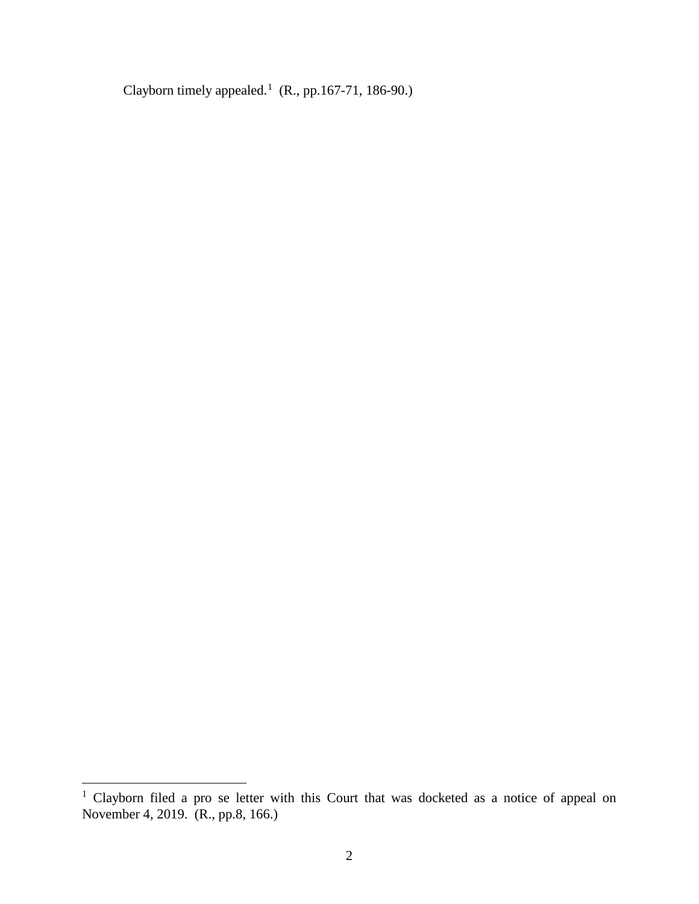Clayborn timely appealed.<sup>[1](#page-5-0)</sup> (R., pp.167-71, 186-90.)

 $\overline{a}$ 

<span id="page-5-0"></span><sup>&</sup>lt;sup>1</sup> Clayborn filed a pro se letter with this Court that was docketed as a notice of appeal on November 4, 2019. (R., pp.8, 166.)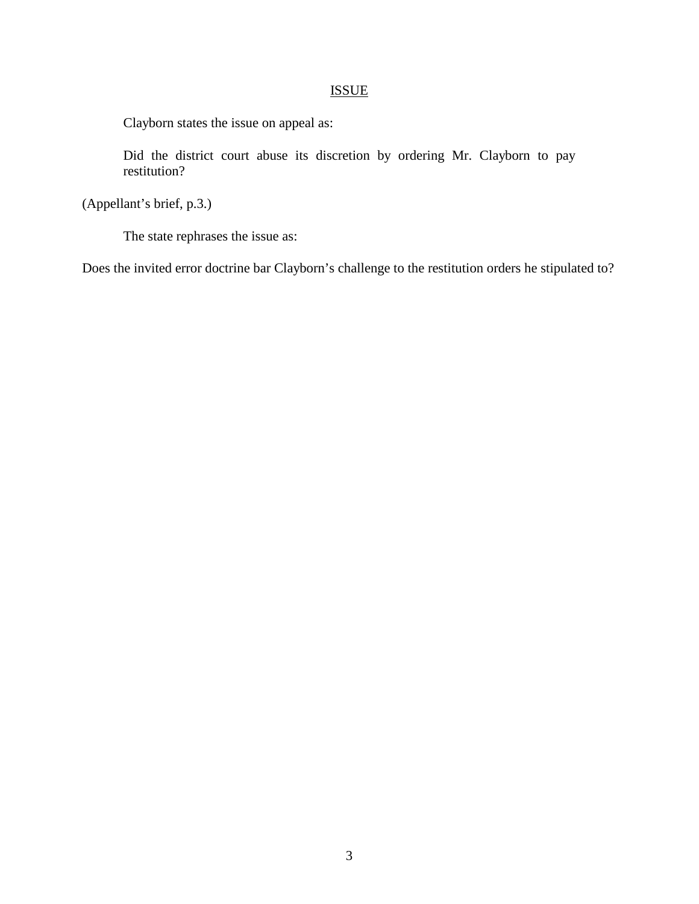## ISSUE

Clayborn states the issue on appeal as:

Did the district court abuse its discretion by ordering Mr. Clayborn to pay restitution?

(Appellant's brief, p.3.)

The state rephrases the issue as:

Does the invited error doctrine bar Clayborn's challenge to the restitution orders he stipulated to?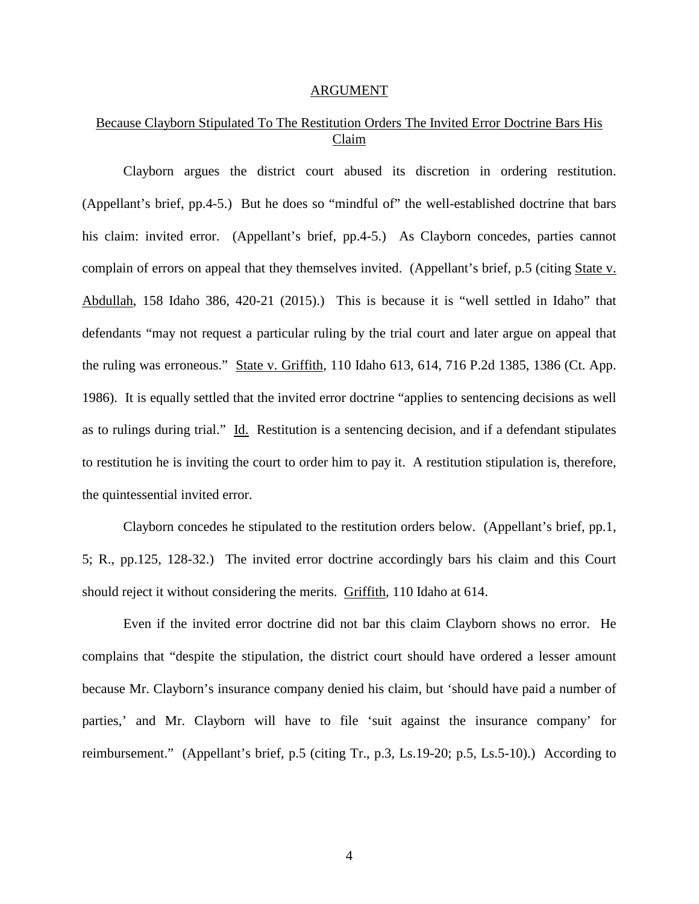#### ARGUMENT

### Because Clayborn Stipulated To The Restitution Orders The Invited Error Doctrine Bars His Claim

Clayborn argues the district court abused its discretion in ordering restitution. (Appellant's brief, pp.4-5.) But he does so "mindful of" the well-established doctrine that bars his claim: invited error. (Appellant's brief, pp.4-5.) As Clayborn concedes, parties cannot complain of errors on appeal that they themselves invited. (Appellant's brief, p.5 (citing State v. Abdullah, 158 Idaho 386, 420-21 (2015).) This is because it is "well settled in Idaho" that defendants "may not request a particular ruling by the trial court and later argue on appeal that the ruling was erroneous." State v. Griffith, 110 Idaho 613, 614, 716 P.2d 1385, 1386 (Ct. App. 1986). It is equally settled that the invited error doctrine "applies to sentencing decisions as well as to rulings during trial." Id. Restitution is a sentencing decision, and if a defendant stipulates to restitution he is inviting the court to order him to pay it. A restitution stipulation is, therefore, the quintessential invited error.

Clayborn concedes he stipulated to the restitution orders below. (Appellant's brief, pp.1, 5; R., pp.125, 128-32.) The invited error doctrine accordingly bars his claim and this Court should reject it without considering the merits. Griffith, 110 Idaho at 614.

Even if the invited error doctrine did not bar this claim Clayborn shows no error. He complains that "despite the stipulation, the district court should have ordered a lesser amount because Mr. Clayborn's insurance company denied his claim, but 'should have paid a number of parties,' and Mr. Clayborn will have to file 'suit against the insurance company' for reimbursement." (Appellant's brief, p.5 (citing Tr., p.3, Ls.19-20; p.5, Ls.5-10).) According to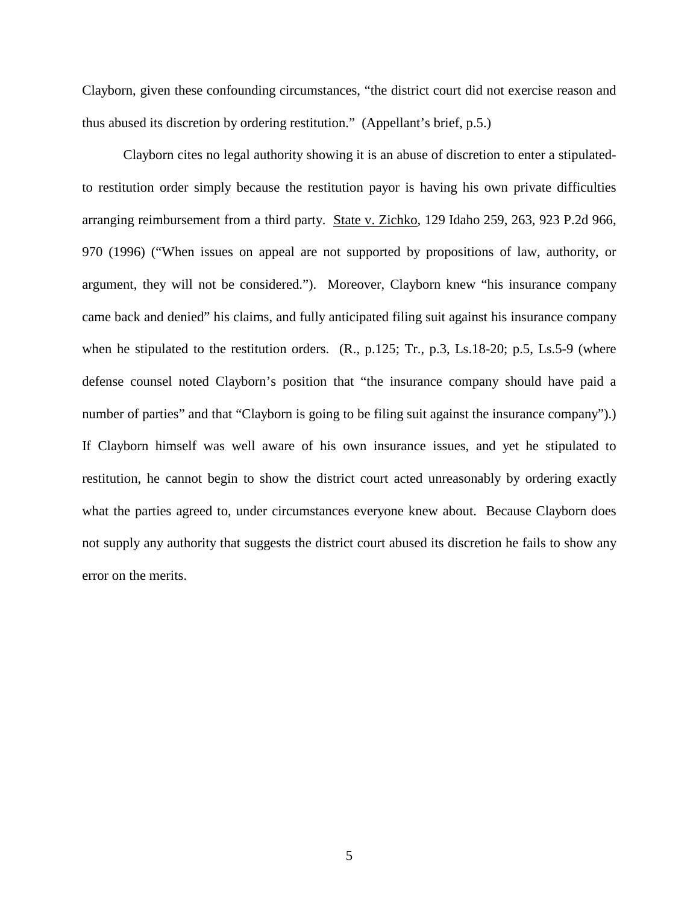Clayborn, given these confounding circumstances, "the district court did not exercise reason and thus abused its discretion by ordering restitution." (Appellant's brief, p.5.)

Clayborn cites no legal authority showing it is an abuse of discretion to enter a stipulatedto restitution order simply because the restitution payor is having his own private difficulties arranging reimbursement from a third party. State v. Zichko, 129 Idaho 259, 263, 923 P.2d 966, 970 (1996) ("When issues on appeal are not supported by propositions of law, authority, or argument, they will not be considered."). Moreover, Clayborn knew "his insurance company came back and denied" his claims, and fully anticipated filing suit against his insurance company when he stipulated to the restitution orders. (R., p.125; Tr., p.3, Ls.18-20; p.5, Ls.5-9 (where defense counsel noted Clayborn's position that "the insurance company should have paid a number of parties" and that "Clayborn is going to be filing suit against the insurance company").) If Clayborn himself was well aware of his own insurance issues, and yet he stipulated to restitution, he cannot begin to show the district court acted unreasonably by ordering exactly what the parties agreed to, under circumstances everyone knew about. Because Clayborn does not supply any authority that suggests the district court abused its discretion he fails to show any error on the merits.